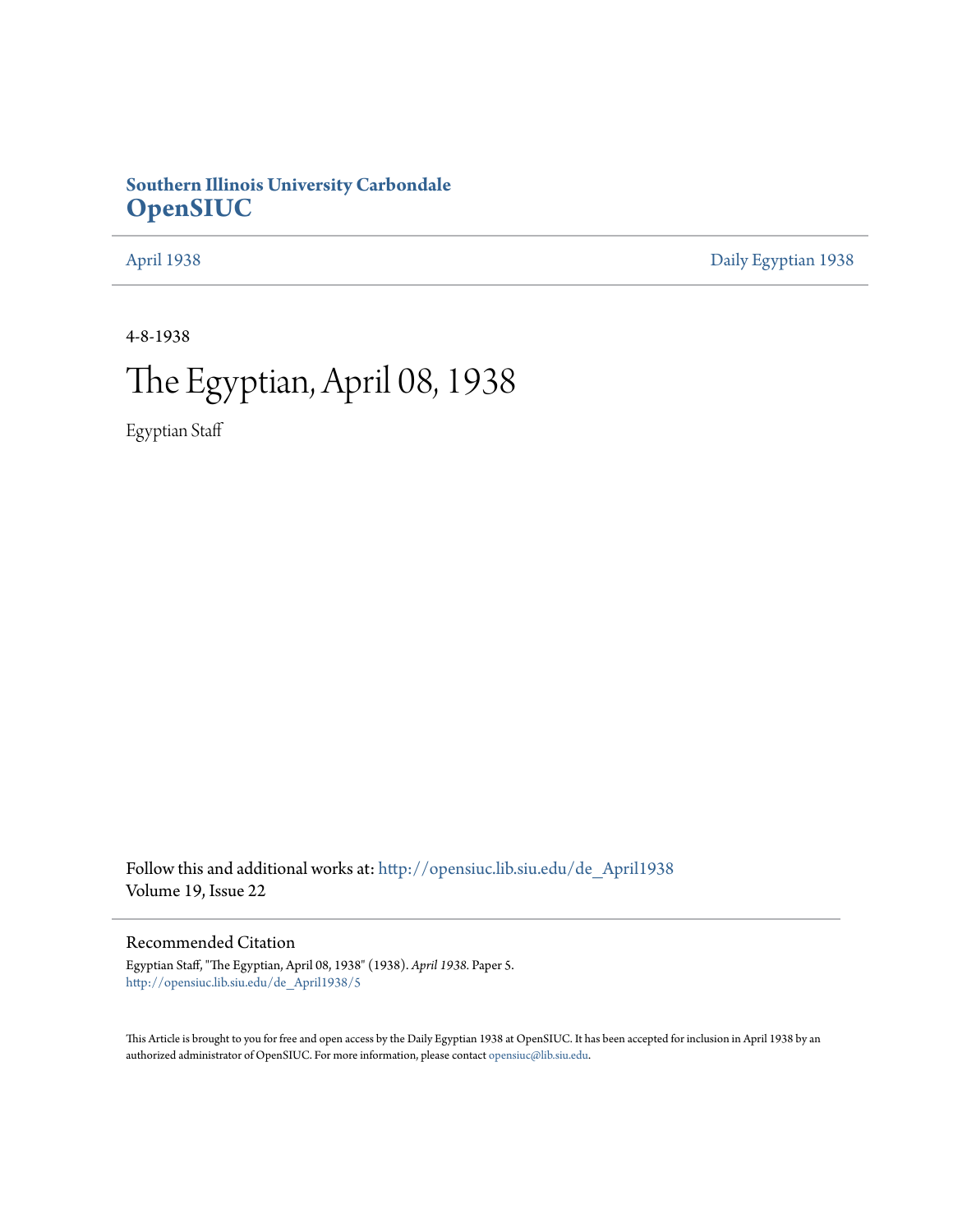## **Southern Illinois University Carbondale [OpenSIUC](http://opensiuc.lib.siu.edu?utm_source=opensiuc.lib.siu.edu%2Fde_April1938%2F5&utm_medium=PDF&utm_campaign=PDFCoverPages)**

[April 1938](http://opensiuc.lib.siu.edu/de_April1938?utm_source=opensiuc.lib.siu.edu%2Fde_April1938%2F5&utm_medium=PDF&utm_campaign=PDFCoverPages) [Daily Egyptian 1938](http://opensiuc.lib.siu.edu/de_1938?utm_source=opensiuc.lib.siu.edu%2Fde_April1938%2F5&utm_medium=PDF&utm_campaign=PDFCoverPages)

4-8-1938

# The Egyptian, April 08, 1938

Egyptian Staff

Follow this and additional works at: [http://opensiuc.lib.siu.edu/de\\_April1938](http://opensiuc.lib.siu.edu/de_April1938?utm_source=opensiuc.lib.siu.edu%2Fde_April1938%2F5&utm_medium=PDF&utm_campaign=PDFCoverPages) Volume 19, Issue 22

## Recommended Citation

Egyptian Staff, "The Egyptian, April 08, 1938" (1938). *April 1938.* Paper 5. [http://opensiuc.lib.siu.edu/de\\_April1938/5](http://opensiuc.lib.siu.edu/de_April1938/5?utm_source=opensiuc.lib.siu.edu%2Fde_April1938%2F5&utm_medium=PDF&utm_campaign=PDFCoverPages)

This Article is brought to you for free and open access by the Daily Egyptian 1938 at OpenSIUC. It has been accepted for inclusion in April 1938 by an authorized administrator of OpenSIUC. For more information, please contact [opensiuc@lib.siu.edu](mailto:opensiuc@lib.siu.edu).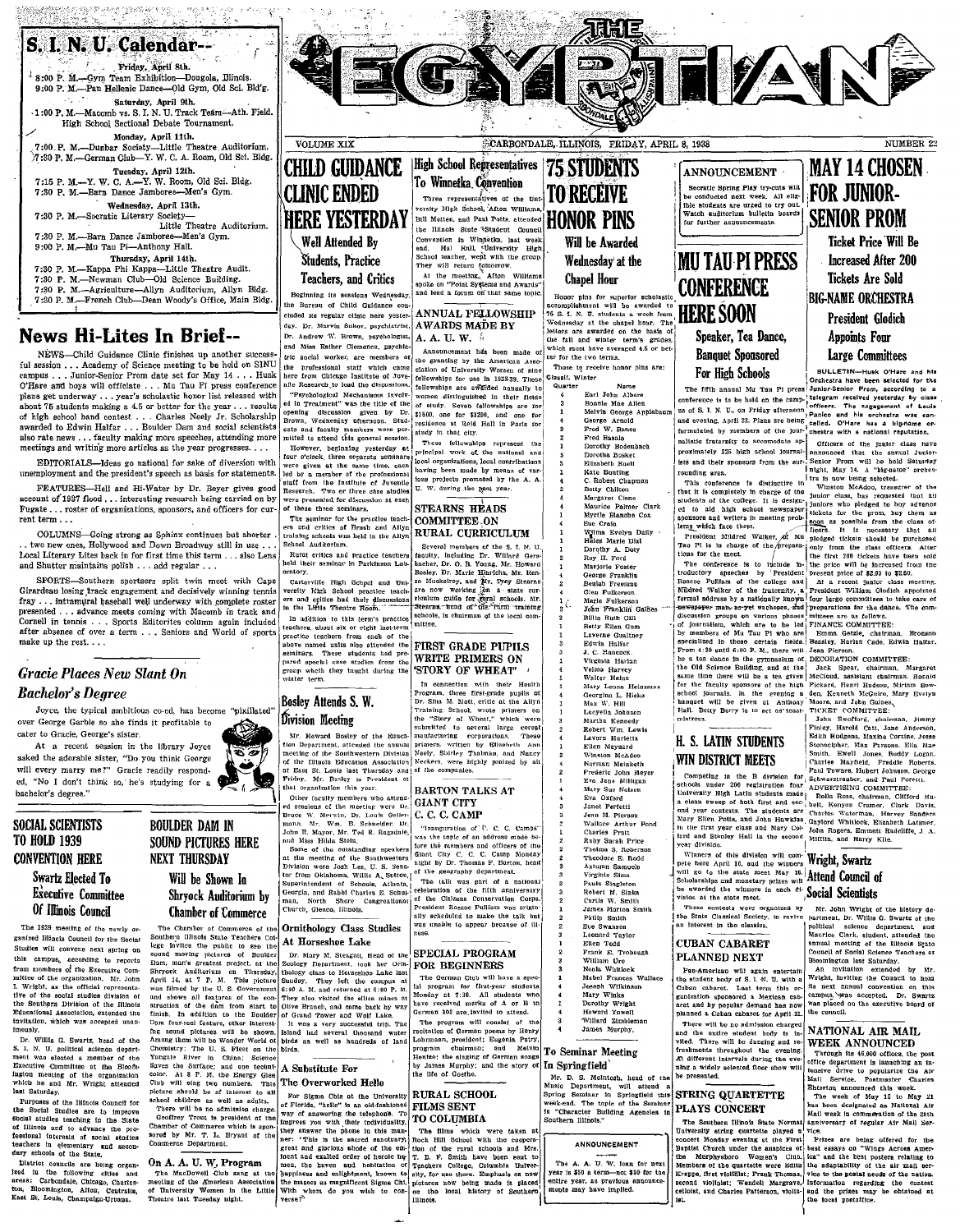S. I. N. U. Calendar--Friday Anril 8th. <sup>1</sup> 8:00 P. M.-Cym Team Exhibition-Dougola, Blinois. 9:00 P. M.--Pan Hellenic Dance---Old Gym, Old Sci. Bld'g. Saturday, April 9th.  $,1:00$  P. M.-Macomb vs. S. I. N. U. Track Team--Ath. Field. High School Sectional Debate Tournament. Monday, April 11th. . 7:00.P. M.-Dunbar Society-Little Theatre. Auditorium, ·}~:30P, M.-German Club-Yo W. C. A. Room, Old Sci. Bldg. Tuesday, April 12th.<br>7:15 P. M.—Y. W. C. A.—Y. W. Room, Old Sci. Bldg. 7:30 P. M.-Barn Dance Jamboree-Men's Gym. Wednesda¥, April 13th. 7:30 P. M.-Socrstic Literary Society-Little Theatre Auditorium. 7 :30 P. M.-Barn Dance Jamboree-Men's Gym. 9:00 P. M.-Mu Tau Pi-Anthony Hall.<br>Thursday, April 14th. 7:30 P. M.--Kappa Phi Kappa--Little Theatre Audit.<br>7:30 P. M.---Kappa Phi Kappa---Little Theatre Audit.<br>7:30 P. M.---Agriculture---Allyn Auditorium, Allyn Bldg.<br>7:30 P. M.---French Club----Dean Woody's Office, Main Bldg.

## News Hi-Lites In Briel--

NEWS-Child Guidance Clinic finishes up another succe ful session . . . Academy of Science meeting to be held on SINU campus . . . Junior-Senior Prom date set for May 14 . . . Husk O'Hare and boys wi]] officiate ... Mu Tau Pi press conference plans get underway, .. year's scholastic honor list released with about 76 students making a 4.5 or better for the year, .. results of high school band contest ... Charles Neely Jr. Scholarship awarded to Edwin Halfar . . . Boulder Dam and social scientists also rate news . . . faculty making more speeches, attending more meetings and writing more articles as the year progresses. . .

EDITORIALS-Ideas go national for sake of diversion with unemployment and the president's speech as basis for statements.

FEATURES-Hell and Hi-Water by Dr. Beyer gives good account of 1937 flood . . . interesting research being carried on by Fugate . . . roster of organizations, sponsors, and officers for current term . . .

COLUMNS-Going strong as Sphinx continues but shorter, . \_ two new ones, Hollywood and DO'wn Broadway still in use .. , I.ceal Literary Lites back in for first time this tenn ... also Lens and Shutter maintains polish ... add regular ...

SPORTS-Southern sportsers split twin meet with Cape Girardeau losing track engagement and decisively winning tennis fray ... intramural baseball well underway with complete roster presented ... advance meets coming with Macomb in track and Cornell in tennis . . . Sports Editorites column again included after absence of over a term . . . Seniors and World of sports make up the rest.  $\ldots$ 

## *Gracie Places New Slant On Bachelor's Degree*

 $\textit{Bachelor's Degree} \xrightarrow{\textit{Bose}} \xrightarrow{\textit{Bose}} \xrightarrow{\textit{Bose}} \xrightarrow{\textit{Bose}} \xrightarrow{\textit{Bose}} \xrightarrow{\textit{Bose}} \xrightarrow{\textit{Bose}} \xrightarrow{\textit{Bose}} \xrightarrow{\textit{Bose}} \xrightarrow{\textit{Bose}} \xrightarrow{\textit{Bose}} \xrightarrow{\textit{Bose}} \xrightarrow{\textit{Bose}} \xrightarrow{\textit{Bose}} \xrightarrow{\textit{Bose}} \xrightarrow{\textit{Bose}} \xrightarrow{\textit{Bose}} \xrightarrow{\textit{Bose}} \xrightarrow{\textit{Bose}} \xrightarrow{\textit{Bose}} \xrightarrow{\textit{Bose$ 

will every marry me?" Gracie readily responded, "No I don't think so, he's studying for a will every marry me?" Gracie readily respond.<br>
Examples the computer of the computer of the computer of the computer of the computer of the strain of the computer of the strain of the computer of the control of the control

The 1939 meeting of the newly or. ganized Illinois Council for the Social Studies will convene next spring on this campus, according to reports from mombers of the Executive Com-<br>mittee of the organization, Mr. John<br>I, Wrlght, as the official representa-<br>tive of the social studies division of<br>the Southern Division of the Illinols Educational AssocIation, extended the invitation, which was accepted unan Imously.

Dr. Willis. G. Swartz, head of the S. L. N. U. political science department was elected a member of the Executive Committee at the Bloomington meeting of the organization<br>which he and Mr. Wright attended last Saturday.

Purposes of the Illinois Council for<br>the Social Studies are to improve<br>Social studies teaching in the State of Illinois and to advance the pro-<br>fessional interests of social studies<br>teachers in elementary and secon-<br>dary schools of the State.

District councils are heing organ-<br>ized in the following cities and ized in the following cities and<br>areas: Carbondale, Chicago, Charleston, Bloomington, Alton, Centralia,<br>East St. Louis, Champaign-Urbana.



Process of the company of the the company of the College of the College invite of the company of the company of the company of the company of the company of the company of the company of the company of the company of t

VOLUME XIX **CHILD GUIDANCE CLINIC ENDED HERE YESTERDAY Well Attended By Students**, Practice Teachers, and Critics Beginning Its sessions Wednesday.

the Bureau of Child Guidance con-<br>cluded its regular clinic here vester- ANNUAL FELLOWSHIP cluded its regular clinic here vesterday. Dr. Marvin Sukov, psychiatrist.  $A WARDS MA\tilde{D}E BY$  Dr. Andrew W. Brown, psychologist.  $A, A, U, W, \tilde{M}$ and Miss Esther Clemence, psychological Andrew v-... W. W. :1 non-temperat hds been mode of the granting by the American Associate processional statt which came clation of University Woman of nine

"Psychological Mechanisms Involv- women distinguished in their fi<sup>ll</sup><br>ed in Treatment'' was the title of the <sub>of study. Seven fellowships are</sub> ~::~ w~~~:~:~;n at~~;~:on~y St~;: :!:jO~~n~:eatfO~p;~2~~lln~~! P:~'~S ::~I ents o.nll rll:culty ~emQerfi were per. study In that city. I witted to attenu thl3 general Ilesslon. These leIJowshlJlS represent the

mices to attent the performal ensures the process of the product of the same time sensitive verte given at the same time, each bed by a member of the profossional staff from the Institute of Juvenile Research. Two or three case studies were presented for discussion at each STEARNS HEADS of these three seminars. STEARNS HEADS The seminar for the practice teach. COMMITTEE.ON  $\frac{1}{2}$   $\frac{1}{2}$   $\frac{1}{2}$   $\frac{1}{2}$   $\frac{1}{2}$   $\frac{1}{2}$   $\frac{1}{2}$   $\frac{1}{2}$   $\frac{1}{2}$   $\frac{1}{2}$   $\frac{1}{2}$   $\frac{1}{2}$   $\frac{1}{2}$   $\frac{1}{2}$   $\frac{1}{2}$   $\frac{1}{2}$   $\frac{1}{2}$   $\frac{1}{2}$   $\frac{1}{2}$   $\frac{1}{2}$   $\frac{1}{2}$   $\frac{1}{2}$ 

in the Little Theorem Tools. Steamer Heart and of the Trum training the best red of the Little Theorem is precise schools, is chairman of the local comparation to the transformation of the local comparation from each of th

Bosley Attends S. W.

TO HOLD 1939 SOUND PICTURES HERE THE SOUND PICTURES HERE THE ALL AND SUSPENDED AND SOUND PICTURES HERE TO A MANY SUSPENDED TO A MANY SUSPENDED TO A MANY SUSPENDED TO A MANY SUSPENDED TO A MANY SUSPENDED TO A MANY SUSPENDED

Finish. In a distriction to the Solve content is the original of the original of the original of the original Club World Tower of the original of the Club Williams of the original of the Club Williams of the original Club of Grand The externe particular control of the stress of the stress of the stress of the stress of the stress of the stress of the stress of the stress of the stress of the stress of the stress of the stress of the stress birds as well as hundreds of land program charmen, prediction of Ceremon by Henry Communication and Melvin Petty and the entire state of the state of the state of the state of the state of the state of the state of the st

# For Sigma Chis at the University RURAL SCHOOL of Florida, "hello" is an old-fashioned FILMS SENT

CARBONDALE, ILLINOIS, FRIDAY, APRIL 8, 1938 High School Representatives | 75 STUDENTS To Winnetka Convention **TO RECEIVE** Three representatives of the Uni-<br>-<br>- versity High School, Afton Williams, Convention in Winnetka, last end. Hal Hnll, *i*University School teacher, went with the meeting,  $\frac{1}{2}$  Atton Winnet on  $\frac{1}{2}$  and  $\frac{1}{2}$  and  $\frac{1}{2}$  and  $\frac{1}{2}$  and  $\frac{1}{2}$  and  $\frac{1}{2}$  and  $\frac{1}{2}$  and **Chapel Hour** 

the professional staff which came clation of University Women (b)<br>here from Chicago Institute of Juve- tellowships for use In 1923.39.<br>nite Research to lead the discussions... tellowships are awarded annu

However, beginning yesterday at principal work of the national and<br>four o'clock, three separate seminars local organizations, local contributions stating the lines by instant of the four-<br>Institute profects promoted by the A. A.

School Auditorium.<br>
Rural critics and practice teachers faculty, including Dr. Willard Gers-<br>
held their seminar in Parkinson Lat-<br>
heater, Dr. O. B. Young, Mr. Howard<br>
rowtory, Willard Gers-<br>
Rural Harley, Dr. Marie Hinri Carterville High School and Uni. 20 Muckelroy, and Mr. Troy Stearns Control Carter Cur-

# pared special case studies from the WRITE PRIMERS ON group whclh they tanglit during the 'STORY OF WHEAT' whiter term.

Chelor's Degree and the specific of the Second Hubber Health and the specific of the faculty sponsors of the hand Field of the faculty sponsors of the hand Field and Field and Training Second and the specific of the facult At a recent session in the library Joyce Comparison. Hen Department, attended the annual primers, written by EUzabeth Ann I Ellen Maynard H. D. LAIIN SIUDENIS Stonecipher, Max Parsons. Ella May Concert of the property mean of the state of the state of the state of the state of the state of the state of the state of the state of the state of the state of the state of the state of the state of the state of the stat

was filmed by the U.S. Government c.00 A. M, and returned at 6:00 P. M. and program for three-year students and looking in Joseph Wilkinson Cuban caharet. Last term this pr. its next annual convention on this correction on

program chairman; hul Meivin To Seminar Meeting freshments throughout the evening. Through its 46.000 offices, the post

ner: "This is the second restort in Society's Review of the Society's Review of the Society and Control and Society and Control and Society and Control and Society and the Society and the Society and the Society and the So With whom do you wish to con-<br>
With whom do you wish to con-lon the local history of Southern and Davids Parties and Charles Patterson, violin- and Charles Patterson, violin- and Charles Patterson, violin- and Charles Patt

# Will be Awarded Wednesday' at the

GAY RATILYAIR

Honor plas for superior scholarite **CUNTERENT**<br>
accomplishment will be awarded to the SOON Wednesday at the chapel hour. The **HERE SOON**<br>
better are awarded on the base of the state of the state of the data of the data of which must have averaged 4.5 or bet ter for the two terms.

Those to receive honor pins a **Classif.** Winter Quarter

inter Name<br>
Earl John Albers<br>
Bonnie Mae Allen<br>
Melvin George Arplebau:<br>
George Arnold<br>
Fred W. Banes<br>
Porcity Bodanbach<br>
Dercity Bodanbach<br>
Dercity Bodanbach

ANNOUNCEMENT Socratic Spring Play try-outs will **FOR JUNIOR-**<br>be conducted next week. All elign **FOR JUNIOR-**<br>ble students are urged to try out. Watch auditorium bulletin boards for further announcements.

## **MU TAU PI PRESS CONFERENCE** Speaker, Tea Dance, Banquet Sponsored

Dorothy Bodenbach anilatic traternity to accomodate ap-<br>Dorotha Bosket proximately 225 high school journal- nanounced that the annual Junior-<br>Elizabeth Buell stand their sponsors from the sur-. Senior Prom will be held Sat

Myrtie Blanche Cox :: sponsors and writers in meeting prob-<br>Sue Crain lem from the class of

 $\begin{tabular}{l|c|c|c|c|c} \multicolumn{1}{c}{\textbf{Algorithm} Former & The content is to indicate by the number of $2.00 to $2.00, $100$ to $100$ to $100$ to $100$ to $100$ to $100$ to $100$ to $100$ to $100$ to $100$ to $100$ to $100$ to $100$ to $100$ to $100$ to $100$ to $100$ to $100$ to $100$ to $100$ to $100$ to $100$ to $100$ to $100$ to $100$ to $100$ to $100$ to $$ Each Carl Communism, which are to be left FINANCE COMMITTEE:<br>Laverne Guattabey by members of Ma Tau Pi who are Roman Gattle, charlenna. Bronson<br>Edwin Halfar<br>J. C. Hancock. From 4:39 antil 6:06 P. M., there will Jean Pierso Velma Harvey ine Old Science Building, and at the Jack Spear, chairman. Margaret<br>Walter Heinz same time there will be a tea given McCloud, assistant chairman. Ronald

SOCIAL SCIENTISTS BOULDER DAM IN The Resident of the manufacture of the content of the state of the state of the state of the state of the state of the state of the state of the state of the state of the state of the state

PARILE SINGLET IN THE DEVIDENT IN SUPPERSION SERVICE IN SUPPERSION TO A DISTURBATE SUPPERSION TO A SCIENCE IN SCIENCE IN SCIENCE IN SUPPERSION IN SUPPERSION IN SUPPERSION IN SUPPERSION IN THE SUPPERSION OF THE SUPPERSION O

# Muli: D. S. Methodb, head of the be presented.<br>
Muli: Strive, Postmaster Commatter of the Strive of the Strive of the Strive of the Strive Strive School and Strive School and STRING QUARTETTE Spiritus and the vest of May 1

way of anisometrus are ensured at the COLUMBIA Southern Illinois." The Southern Illinois and The Southern Illinois Shate Norman Innovation at The films which were taken at Ua\versity atriug 41.uartette played a luce. ~~~~~':!~c~e~e ~:~;:In~ ~:e:c~~:n~~ PLAYS CONCERT ~a:1l b:::k ~:s~gor::~:t~o:~~l~~:12~1~ Southern Illinois." The SnUtbern Illinois State Normal anniVersary of regUlar AII' Mall ~el'-

## **SENIOR PROM** Ticket Price 'WiD Be Increased Mter 200 Tickets Are Sold **BIG-NAME ORCHESTRA** President Glodich

MAY 14 CHOSEN

NUMBER 22

Appoints Four

Large CommiHees For High 'Schools I or:~e~~r~T~~;~:~ ~~~;:d af:~ :~: The firth o.nnual Mu To.n PI press Junlor·Senlor Prom, accordlnll to a :~:Inl:o~o.:~~:: conterence Is to. be held on the camp.;!~!~::;s~ ,;::IV::Il:::::::y o~Y LC~::: Melvin Geo.rge Applebaum I' us or S. I. N. U., on Friday afternoontPanlco gnd his o~che5tr .. wa1l can- ~;;~g~.A~:~~8 ;:::~::~:g~:D=~~~e:~a:: :~: bl:I::'1 ~~~:td;a ~;~ha~: n::,80n:1 ~~~:~~:on~r-

Kate Bunting<br>
Staber Chapmann Phase of the Staber Chapmann (1981, May 14. A "bigname" orches-<br>
20. Robert Chapmann Phase Chapmann (1981)<br>
Margaret Chapmann (2011)<br>
20. Margaret Chapmann (2011)<br>
Margaret Chapmann (2012)<br>
Ma When Nario Dist<br>
Helen Marie Dist<br>
Decreby A. Doly<br>
Decreby A. Doly<br>
The District of the preparate of the first and the cases of<br>
None in the case of the first 200 tickets have been sold<br>
Roy H. Ford<br>
Roy H. Ford

of Illinois Council Commerce (CUBA) Council Commerce (CUBA) Council CUBA CHANGER (CUBA) COUNCIL SERVILL SUGGER (CUBA) COUNCIL SUGGER (CUBA) COUNCIL SUGGER (CUBA) COUNCIL SUGGER (CUBA) COUNCIL SUGGER (CUBA) COUNCIL SUGGER (

Apply 14. Apply 14. At the compass at '1 Photoman Club will have a spec.<br>
Suuday. They left the campus at The German Music of the students of the student body of S. 1. U. with a Wright, Inviting the Council to hold.<br>
Guban

by James Murphy; and the story of In Springfield :<br>in the a widely selected floor show will females a when a termination the att Overworked Hello (the the of Coetne. Mall Service, head of the begins the begins of the begins of the begins of the begins of the begins of the begins of the begins of the begins of the begins of the begins of the begins o

Specify speeched this week.<br>The week of May 15 to May 21<br>has been designated as National Air<br>Mail week in commeration of the 20th<br>anniversary of regular Air Mail Ser-

I

i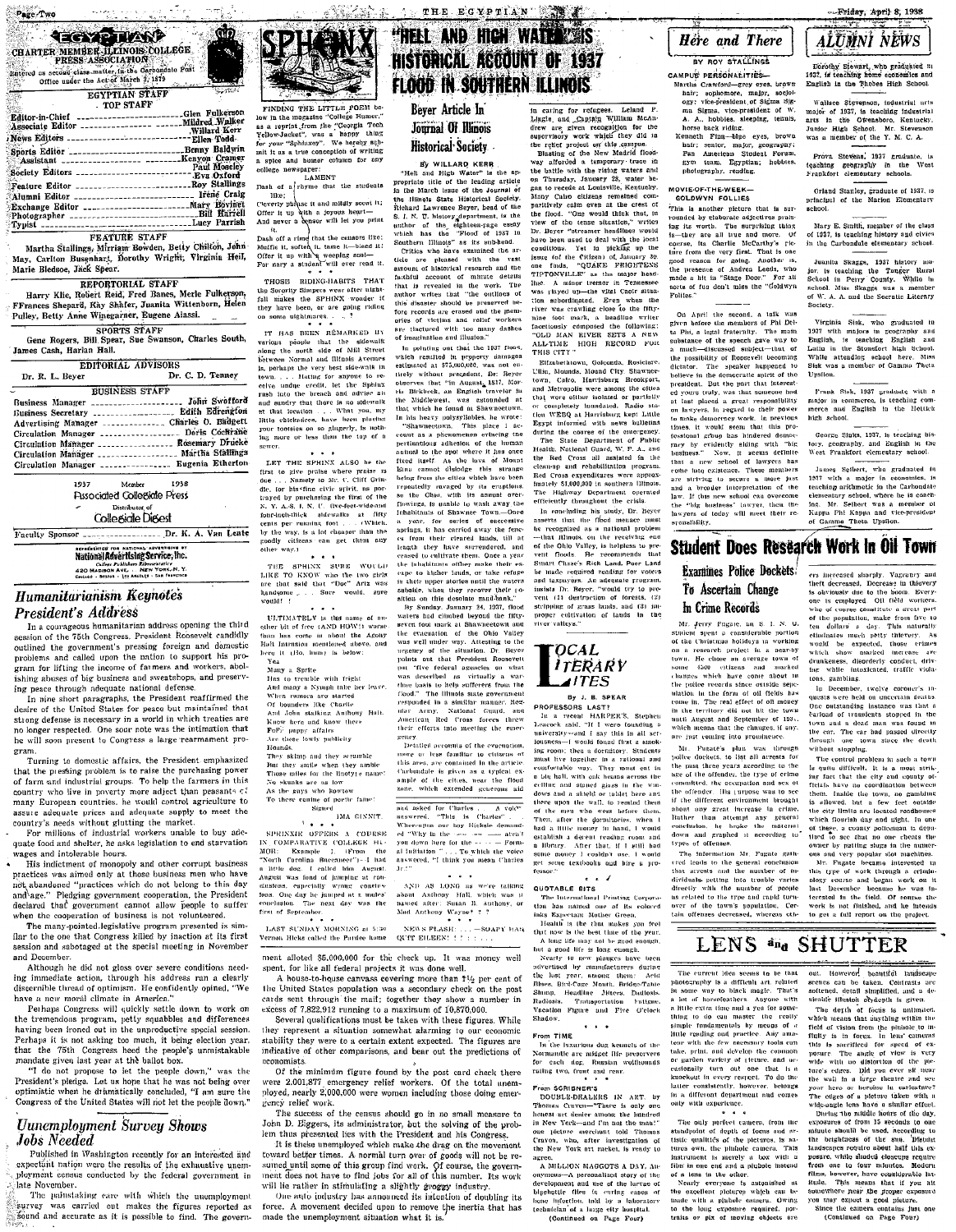ويعتب

**CONTRACTOR** 

 $\sim \sigma t$ 

ൽ

| Editor-in-Chief ------------------------Glen Fulkerson                               |              |
|--------------------------------------------------------------------------------------|--------------|
| Associate Editor ________________ _____ Mildred Walker                               |              |
|                                                                                      | Willard Kerr |
| Willard Aerr, Willard Aerr,<br>News Editors ------------------------------Ellen Todd |              |
| Sports Editor ______________________Benny Baldwin                                    |              |
| Assistant __________________ ______Kenyon Cramer                                     |              |
| Paul Moseley<br>Society Editors _________________________Paul Moseley                |              |
|                                                                                      |              |
| Feature Editor _______________________Roy Stallings                                  |              |
| Alumni Editor _________________________ Irene Craig                                  |              |
| Exchange Editor _____________________Mary Bovinet                                    |              |
| Photographer ______________________________Bill Harrell                              |              |
|                                                                                      |              |
|                                                                                      |              |

### FEATURE STAFF

Martha Stallings, Mirriam Bowden, Betty Chilton, John<br>May, Carlton Busenhart, Dorothy Wright, Virginia Heil, Marie Bledsoe, Jack Spear.

### REPORTORIAL STAFF

Harry Klie, Robert Reid, Fred Banes, Merle Fulkerson,<br>Frances Shenard. Kay Shafer, Juanita Wittenborn, Helen Pulley, Betty Anne Winegarner, Eugene Alassi. SPORTS STAFF

Gene Rogers, Bill Spear, Sue Swanson, Charles South,<br>James Cash, Harlan Hail. 

| EDITORIAL ADVISORS |                  |
|--------------------|------------------|
| Dr. R. L. Bever    | Dr. C. D. Tenney |

### **BUSINESS STAFF** Business Manager \_\_\_\_\_\_\_\_\_\_\_\_\_\_\_\_\_\_\_\_\_\_ Tillie Swafford Edith Edrengton Business Secretary ................... Advertising Manager ................ Charles O. Badgett Circulation Manager .................... Doris Cochrane Circulation Manager ................... Rosemary Drucke Circulation Manager .................. Martha Stallings Eugenia Etherton Circulation Manager .................

1937 Member  $1938$ **Pissociated Collegiate Press** Distributor Collegide Digest

Faculty Sponsor \_\_\_\_\_\_\_\_\_\_\_\_\_\_\_\_\_\_ Dr. K. A. Van Lente

**Mational Revertising Service, Inc.** Callege Publishers Representative<br>420 MADISON AVE. . . NEW YORK N.Y.<br>Concaso - BOSTON - LOS ARCILES - SAN FOAMENCO

### **Humanitarianism Keunotes President's Address**

In a courageous humanitarian address opening the third session of the 75th Congress. President Roosevelt candidly outlined the government's pressing foreign and domestic problems and called upon the nation to support his program for lifting the income of farmers and workers, abolishing abuses of big business and sweatshops, and preserving peace through adequate national defense.

In nine short paragraphs, the President reaffirmed the desire of the United States for peace but maintained that strong defense is necessary in a world in which treaties are no longer respected. One sour note was the intimation that he will soon present to Congress a large rearmament program

Turning to domestic affairs, the President emphasized that the pressing problem is to raise the purchasing power of farm and industrial groups. To help the farmers in this country who live in poverty more adject than peasants  $c\hat{z}$  many European countries, he would control agriculture to assure adequate prices and adequate supply to meet the country's needs without glutting the market.

For millions of industrial workers unable to buy adequate food and shelter, he asks legislation to end starvation wages and intolerable hours.

His indictment of monopoly and other corrupt business practices was aimed only at those business men who have not abandoned "practices which do not belong to this day and age." Pledging government cooperation, the President declared that government cannot allow people to suffer when the cooperation of business is not volunteered.

The many-pointed legislative program presented is simflar to the one that Congress killed by inaction at its first session and sabotaged at the special meeting in November and December.

Although he did not gloss over severe conditions needing immediate action, through his address ran a clearly discernible thread of ontimism. He confidently opined, "We have a new moral climate in America."

Perhaps Congress will quickly settle down to work on the tremendous program, petty squabbles and differences having been ironed out in the unproductive special session. Perhaps it is not asking too much, it being election year. that the 75th Congress heed the people's unmistakable mandate given last year at the ballot box.

"I do not propose to let the people down," was the President's pledge. Let us hope that he was not being over optimistic when he dramatically concluded. "I am sure the Congress of the United States will not let the people down."

### **Uunemployment Survey Shows Jobs** Needed

Published in Washington recently for an interested and expectant nation were the results of the exhaustive unemployment census conducted by the federal government in late November.

The painstaking care with which the unemploymen survey was carried out makes the figures reported as sound and accurate as it is possible to find. The govern-



FINDING THE LITTLE POEM be FINDING THE LITTLE POEM beam and the measuring "College Humor."<br>as a reprint from the "Ceorgia Tech Yellow-Jacket", was a happy thing<br> $Y$  plow-Jacket", was a happy thing<br>for your "Sphinzory". We happy sup-<br>mit it as a tru college newspaper:

LAMENT Dash of a rhyme that the students

The common the common the common the common the common the common the common the common that the common the common the common the common the common the common the common the common the common the common the common the comm has formed that the cenaors like:<br>
Muffle it, soften it, tame it-biend it.<br>
Muffle it us with a weeping soul-<br>
For nary a student will ever read it.

THOSE RIDING-HABITS THAT THOSE RIEDING-HABITS THAT<br>fall makes the SPHINX wonder it<br>they have been, or are going riding on some uightmores...

IT HAS BEEN RÊMARKED UN various people that the sidewalk<br>along the north side of Mill Street **Gotwoon Normal and Illinois Avenues** is, perhaps the very best side-walk in Is, perhaps the very best successors of town,<br>  $\therefore$  Hathing for anyone to receive undue credit, let the Sphinx<br>
rush into the breach and darive aim<br>
and sundry that thore is no sidewalk<br>
at that location  $\dots$ . What you, your tootsies on so glugerly, is no ing more or less than the top of a  $\frac{1}{2}$ 

LET THE SPHINX ALSO be the LET THE SPHINX ALSO he the<br>dige ... Namely to Mr. C. Cliff Grin-<br>dee ... Namely to Mr. C. Cliff Grin-<br>dee, tor bis-fine eivie spirit, ns por-<br>trayed by purchasing the first of the<br>N. Y. A.-S, I. N. U. (Ive-feet-wide-and trayed by purchasing<br>
N. Y. A.S. I. N. U. Hve-feet-wide-and<br>
font-inch-thick sidewalks at fifty<br>
-mains foot . . . (Which by the way, is a lot cheaper than the goodly citizens can get them ouy .<br>other way.)  $\sim$   $\sim$ 

THE SPHINX SURE WOULD<br>LIKE TO KNOW win the two girls<br>are that said that "Doc" Ariz was<br>handyone ... Sure would, sure would! !

ULTIMATELY is the name of another bit of free (AND HOW)) worse Hall Intrusion mentioned above.<br>here it (Ho, hum) is below:

yea<br>Many a Sprite<br>Has to tremble with fright<br>And many a Nymph take her leave

When rumors are started Of hounders like Charlie And John stalking Anthony Halt kin som saiking Antions<br>Know here and know there<br>FoF: puppy affairs

are uses lowly publicity<br>Thunds.<br>They skimp and they scrumble<br>But they smile when they ambie<br>Those miles for the linotyje name: No skunks are as low<br>As the guys who kowtow

To these cauine of portic fame!  $Siened$ IMA GINNIT.

 $\ldots$ 

SPHINXIE OFFERS A COURSE<br>IN COMPARATIVE COLLEGE HUMBER<br>MOR: Example 1, Crom the more of "North Carolina Buceneer") - 1 had<br>a little dog, I called bim August. August was fond of jumping at conclusions, especially wrong conclus nons, especially wrong concless<br>clusion. The next day was the<br>clusion. The next day was the<br>cof September.

LAST SUNDAY MORNING at 5:30 Fernon Hicks called the Pardee home

ment alloted \$5,000,000 for the check up. It was money well spent, for like all federal projects it was done well.

the United States population was a secondary check on the post<br>cards sent through the mail; together they show a number in

Several qualifications must be taken with these figures. While they represent a situation somewhat alarming to our economic stability they were to a certain extent expected. The figures are indicative of other comparisons, and bear out the predictions of cconomists.

Of the minimum figure found by the post card check there<br>were 2.001,877 emergency relief workers. Of the total unemployed, nearly 2,000,000 were women including those doing emer-

The success of the census should go in no small measure to John D. Eiggers, its administrator, but the solving of the problem thus presented lies with the President and his Congress.

toward better times. A normal turn over of goods will not be resumed until some of this group find work. Of course, the government does not have to find jobs for all of this number. Its work will lie rather in stimulating a slightly groggy industry.

One auto industry has announced its intention of doubling its force. A movement decided upon to remove the inertia that has made the unemployment situation what it is.

## **THELE AND HIGH WATER IS** HISTORICAL ACCOUNT OF 1937 **FLOOD IN SOUTHERN ILLINOIS**

In caring for refugees. Leland P.<br>Lingte and Captain William McAndrew are given recognition for the<br>supervisory work which they did in

the relief project on this campus. The relief project on this campus.

the battle with the rising waters and

facetiously composed the following:

OLD MAN RIVER SETS A NEW

............<br>Elizabethtown, Golconda, Rosiciare.

the Red Cross all assisted in the

clean-no and rehabilitation program

Red Cross expenditures were approx-

matery 51,000,000 in solution throws.<br>The Highway Department operated efficiently throughout the crisis.

In concluding his study. Dr. Beve

asserts that the flood menace mus-

be made required reading for voter

and taxpayers. An adequate program

insists Dr. Beyer, "would try to pre

vent (1) destruction of forests, (2)

stripping of grass lands, and (3) in

proper cultivation of lands in the river valleys."

*ITERARY* 

By J. B. SPEAR PROFESSORS LAST

FROFESSURS LAST!<br>In a recent HARPER'S, Stephen<br>Leacock said, "If I were founding a

university--and I say this in all ser-<br>jousness-I would found first a smok-

ionsness—I would found first a smok-<br>ing room; then a dorminory. Students<br>must live together in a rational and<br>confortable way. They must eat in<br>a big hall, with onk heans across the<br>celling and studed giass in the wan-<br>do

there upon the wall, to remind them

of the men who went before them

Then, after the dormitories, when

had a little money in hand I would

 $\sim$   $\sim$   $\sim$ 

The International Printing Corpora-

the last year, smong them: Acid

Shinp, Headline Jitters, Dadiosis.<br>Radiosis. Trutisportation Futigne,<br>Vacation Figure and Five O'clock

. . .

In the luxurious dog kennels of the

Normandie are midget life preservers

for each dog. Russian wolfhounds<br>rating two, front and rear.

From SCHIBNER'S IN ART, by<br>Thomas Craven—"There is only one<br>honest art desire among the hundred

in New York-and I'm not the man!

one picture merchant told Thomas

Cravon, who, after investigation of<br>the New York art racket, is ready to

m SCRIRNER'S

tablet here ant

ws and a shield of

QUOTABLE BITS

Shadow

 $F_{\rm F}$ 

acrec

From TIME

 $\angle$ ITES

**TOCAL** 

Yet in picking up the issue for the Citizen) of Januar<br>Issue for the Citizen) of Januar<br>one Tinda – "OUTARE" – -----

.<br>... en

conditions

## Bever Article In Journal Of Illinois Historical Seciety

### By WILLARD KERR

By WILLARY NERR.<br>"Hell and High Water" is the ap-<br>propriate title of the leading article the battle with the rising waters and<br>no Thuraday, January 28, water he-<br>gan to recede at Louisville, Kentucky,<br>Many Caive clizies remained com-<br>particley parallel conditions are particle to the flood. "One would think tha in the March issue of the Journal of the Hingle State Historical Society bia and Laurence Rever head of the Richard Lawrence Beyer, bead or the<br>S. I. N. T. history department, is the<br>suthor of the sighteen-rage essay<br>which has the "Flood of 1937 in<br>Southern Illinois" as its subhead.<br>Critics who have examined the arhave been used to deal with the local ticle are pleased with the vast<br>amount of historical research and the anount of historical research and the details<br>factorial conductor of minute details<br>that is revealed in the work. The<br>author writes that "the outlines of<br>this diaster should be preserved be-<br>fore records are erased and the

of imagination and illusion."<br>
In golating out that the 1937 1004,<br>
which resulted in property siminges<br>
estimated at \$75,000,000, was not en-<br>
irrely without precedent, DF: Beyer<br>
belowerses that "in August, BF: Beyer<br>
ri ALL-TIME HIGH RECORD FOR THIS CITY " Ullin, Mounds, Mound City, Shawnee-Ullar, Montals, Monal City, Shawineer<br>town, Calco, Harrisburg, Brookport,<br>and Metropolis were among the efters<br>that were elitter inducted or particling<br>for completely handardad. Radio star-<br>from WEBQ at Harrisburg kert Lit the Middlewest, was astounded at that which he found at Shawnoctown In his heavy polysyllobles, he wrote: In his heavy polygylibbles, he wrote:<br>
"Shawuretown, This place 1 ac-<br>
"Count as a phenomenon erthering the<br>
perilandous adhesion of the luman<br>
naminal to the spot where it has once<br>
fixed tast<sup>1</sup>. As the laws of Mount<br>
E repeatedly ravaged by its eruptions.<br>so the Ohio, with its annual overflowings, is unable to wash away the inhabitants of Shaware Town.....One<br>a year, for series of successive<br>springs, it has carried away the fenc-<br>cs from their cleared lands, till at<br>length they have surrendered, and<br>creased to cultivate them. Once a year the inhabitants officer make their es cape to higher lands, or take refugin their noner stories until the waters subside, when they recover their position on this desolate sand-bank."

sition on this describe manifolms."<br>
By Sunday. January 24, 1937, flood<br>
Waters had climbed beyond the fifty-<br>
sector foot mark at Shawneteowith and<br>
the exacution of the Ohio Valley<br>
was well under vap. Attesting to the<br> "five federal agencies on what put put "five federal agencies on what<br>was described as virtually a way<br>thus basis to help sufferers from the<br>flood." The Himola state government<br>responded in a similar manner. Ree,<br>and a similar along compared their afforms (  $\frac{1}{100}$ their efforts into meeting the emer gency

ancy.<br>- Detailed accounts of the evacuation more or less familiar to citizens of this area, are contained in the article can area, are contained in the arcterior<br>Carbondale is given as a typical ex-<br>ample of the cities, near the flood<br>zone, which extended goterous aid

 $\overline{A \text{ value}}$ and asked for Charles animous at a decent reading room and<br>a Hbrary. After that, if I still had<br>some nome r I cooldn't use. I would<br>get some textbooks and hire a pro-<br>fessor." you down here for the ----- -- Form-<br>al initiation " . . . To which the voice<br>answered, "I think you mean Charles  $\mathbf{J} \in \mathcal{I}$ 

 $\sim$   $\sim$   $\sim$ AND AS LONG as we're talking AND AS LONG as were talking<br>about Anthony Hall, which was it<br>named after: Susan B. Anthony, or<br>Mid Anthony Wayne? ? ?

tion has named one of its colored<br>inks Expectant Mother Green. NEWS PLASH:  $\ldots$  = SOAPY HAN QUIT EILEEN:  $\{ \cdot \}$  :  $\ldots$ 

inks Experient Mother Green,<br>the that the best time of the year.<br>A locality is the best time of the year.<br>A local life may not be good enough,<br>but a good life is long coongh,<br>Nearly 40 new plantages have been<br>advertised by

house-to-house canvass covering more than 11/2 per cent of

excess of  $7,822,912$  running to a maximum of  $10,870,000$ .

rency relief work.

It is these unemployed which make the drag on the movement

## **Here** and There

BY ROY STALLINGS CAMPUS PERSONALITIES

ARPUS PERSONALITIES—<br>Martha Crawford-groy eyes, brown<br>haiv; sophemore, malpr, socio-<br>ogy; vic-president, of Sigma Sigman<br>ma Sigma, vice-president of W.<br>A. A., hobbies, sleeping, tenuls, horse back riding.<br>Kenneth Finn--blue eyes, brown

hair; senior, major, geography; Pan American Student Forum team. Egyptian: hobbies evm photography, rea

### MOVIE-OF-THE-WEEK-GOLDWYN FOLLIES

COLDWYN FOLLIES<br>This is another picture that is sur-<br>fromded by claborate adjectives prais-<br>for its worth. The surprising thing<br>is-they are all the and nore. Of<br>course, its Charlie McCarthy's ric-<br>time from the very first. good reason for going. Another is,<br>the presence of Andrea Leeds, who<br>made a hit in "Stage Door." For all one finds, "QUARE FRIGHTENS TIPTONVILLE" as the major headone finds, "QUAKE FRIGHTENS<br>THYTONVILLE" as the maps head of the state line. A minor term or in Tennessee<br>was played up—the vital Caole situation<br>where was crawling close to the fitty-<br>player was crawling close to the fitt sorts of fun don't miss the "Goldwyn

On April the second, a talk was<br>given before the neumbers of Phi Det-<br>ta Phi, a legal fratemity. The main<br>substance of the speech gave way to<br>a nucle-discussed subject-that of<br>the possibility of Roosevelt becoming<br>dictator believe in the democratic spirit of the president. But the part that intered yours truly, was that someone had W at last placed a great responsibility<br>to nakyers, in regard to their power<br>to nake democracy work, in previous<br>times, it would seem that this pro-<br>fessional group has hindered democracy by evidently siding<br>basiness." Now, it seen with s. Now, it seems definite<br>s." Now, it seems definite that a come juto existence. These members ne man existence, rease members<br>a striving to secure a more just<br>a broader interpretation of the<br>r. If this new school can overcome<br>er in this phase and the security of the security<br>sers of today will meet their relawyers of<br>syonsibility,

elementary school, where he is coaching. Mr. Seibert was a member of<br>Kappa Phi Kappa and vice-president<br>of Gamme Theta Upsilon. **Student Does Research Work In Oil Town** 

## **Examines Police Dockets** ers increased sharply. Vagrancy and<br>theft decreased, Decrease in this<br>very is obviously due to the hoon. Every-<br>one is employed. Off field workers. To Ascertain Change

In Crime Records

Mr. Jerry Fugate, an S. I. N. U.<br>student spent a considerable portion<br>of the Christmas holidays in working<br>on a research project in a near-by town. He chose an average town of some 4500 citizens and marked<br>changes which have come about 10 the police records since quiside sepa the police records since outside sep-<br>nation in the form of oil fields has<br>come in. The real effect of oft money<br>in the territory did out hit the town<br>multi August and September of 1934,<br>which means that the changes, if an are just coming into prominence.

Mr. Fugate's plan was through<br>police dockets, to list all arrests for the past three years according to the age of the offender, the type of crime committed, the occupation and sex of<br>the offender. His surpose was to see the offender. His purpose was to see<br>if the different environment broadel<br>about any great burease in ordine.<br>Patther than attempt any general<br>conclusion, he brooke the maternat<br>down and graphed it according to<br>types of off

there is one that no one cheats the<br>neutron of order to particle of our corrections and very popular slot machines.<br>Also, Figure because interested that<br>this, type of work through a criminalistic property on the<br>particular types of othermes.<br>The information Mr. Fugate gather and the state and the number of in-<br>the direction is that in the state of the direction of the direction<br>directly with the number of people are directly with the number over of the town's population. Cerwork is not finished, and he intends tain offenses decreased, whereas othto get a full report on the project

LENS #na SHUTTER

The current idea seems to be that<br>photography is a difficult art, related<br>in some way to black magic. That's lot of horsefeathers. Apyone little extra time and a yea for some thing to do can master the really simple fundamentals by means of a little reading and practice. Any and teur with the few necessary tools cun take, print, and develop the common take, print, and develop the common<br>or garden variety of (fetnre, and ac-<br>easionally (urn) out one that is a<br>knockout in every respect. To do the latter consistently, however, belongs in a different department and comes only with experience.

The only perfect camera, from the<br>standpoint of depth of focus and artistic qualities of the pictures, is natures own, the plufiole camera. This instrument is merely a box with a<br>film in one end and a plubole instead

A MILLION MAGGOTS A DAY, AR film in one end and a plubole instead<br>of a losts in the other.<br>Nearly everyone is astonished at<br>the excellent pluttings which can be<br>mude with a plubole cannom. Owing<br>to the long exposure required, por-<br>traits or pix of mo

A BILLION MAGGOTS A DaY, An-<br>onymous--A personalized story of the<br>development and use of the lurvae of<br>bligehottle flies in earling cases of<br>home infection. told by a laboratory<br>techniclan of a large eity hospital.<br>(Contin

out. However, beautiful landscape sirable illuston ob-depth is given.

The detth of focus is unitmited The depth of focais is milimater,<br>which means that anything within the<br>field of vision from the piniole to the<br>field of vision from the piniole to the<br>fitty is in focus. In least cameras<br>this is surely<br>fitted to the piece ture's edges. Did you ever sit near the wall in a trep theories and see<br>your hero or heroins in cardiative?<br>The edges of a plettop taken with a wide-angle too shall are firsted.<br>Dividig-the handle rious of the day,<br>Dividig-top systems of from 15 seconding to

landscapes require about half this ex posure, while shaded closeurs require from one to four minutes. Modern films, however, have considerable int itude. This means that if you at itude. state. This means that if you are<br>solutely the proper exposure you may expect a good picture.<br>Since the camera contains just one<br>(Continued on Page Four)

Mary E. Smith, member of the class of 1957, is teaching history and civics<br>in the Curbondale elementary school.

Juanita Skaggs, 1937 history major.<br>
19. Is teaching the Tauger Rural<br>
School in Perry County. While he<br>
school. Miss Skaggs was a member<br>
of W. A. A. and the Socratic Literary Society.

-Friday, April 8, 1938

ALUMNI NEWS

Dorothy Stewart, who graduated in 1937, is teaching home economics and English in the Thebes High School.

Wallace Stevenson, industrial arts<br>major of 1937, is teaching industrial

arts in the Owensboro, Kentucky,<br>Junior High School, Mr. Stevenson

Prova Stevens, 1937 graduate, is

Orland Stanley croduate of 1937 is

principal of the Marion Elementary

was a member of the Y. M. C. A

toaching geography in the<br>Frankfort elementary schools.

Virginia Sisk, who graduated in Virginia Sisk, who graduated in<br>1937 with majors in geography and<br>English, is teaching English and<br>Latin in the Stonetort high School.<br>While attending section bere. Miss<br>Sisk was a member of Ganna Theta<br>Upsilon.

Frank Stak, 1937 graduate with a major in commerce, is teaching comhigh school.

George Sinks, 1937, is teaching history, geography, and English in the West Frankfort elementary school.

with a major in 1037 economics, is teaching arithmetic in the Carbondale school, where he is coach-

who of course constitute a great par

of the population, make from five to<br>ten dollars' a day. This naturally<br>eliminates much petty thievery. As

In December, twolve coronar's in In December, two<br>lyce coroners in the quality of the property of the property<br>of the containing instance was that a<br>coroner of the consistent stopped in the<br>town and n dead man was found in<br>the car. The car had passed dire

whose supposes in such a town<br>Is quite difficult. It is a most striking fact that the city and county of<br>fitcles have no coordination between<br>them. Inside the town, no gambing<br>them. Inside the town, no gambing

the city limits are located roadhouses

which flourish day and night. In one

of these, a county policeman is depu-

is allowed, but a few feet

The car had passed directly<br>one town since the death

ەت<br>rrimes

a ur.<br>Hriv

outside

eliminates much petty thievery<br>would be expected, those v<br>which show marked increase<br>drunkeness, dienderly conduct,<br>for while intoxicated, traffic<br>tons, gambling.

through

 $\mathbf{r}_{\text{max}}$ 

without stopping.

# James Seibert, who graduated in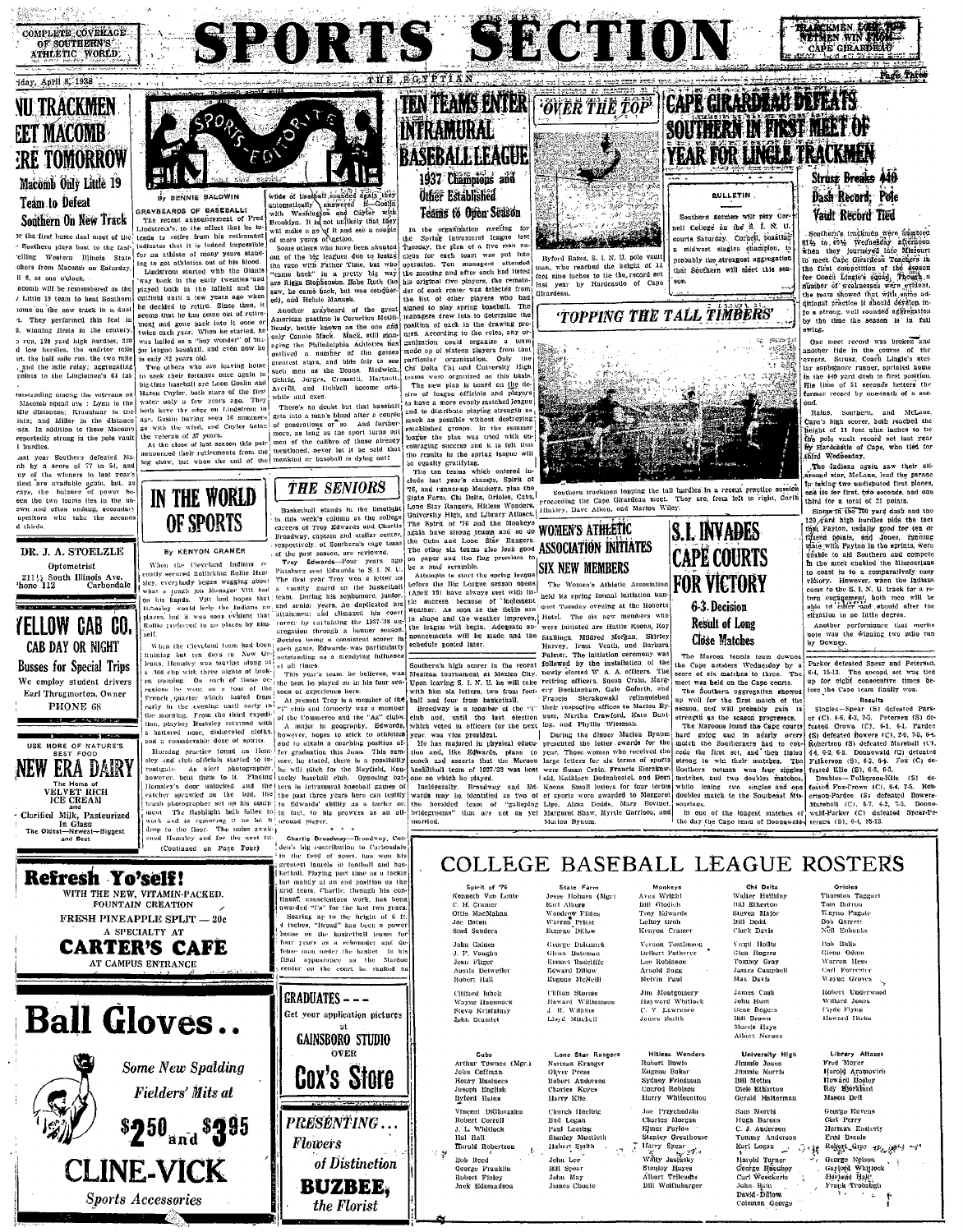

[編集](\* ) ', , , , , , , , ,

## iday, April 8, 1938 **NU TRACKMEN EET MACOMB ERE TOMORROW** Macomb Only Little 19 Teám to Defeat Southern On New Track

or the first home dual meet of the Southern plays host to the fastelling Western Illinois State chers from Macomb on Saturday il 9, at one o'clock.

indicates that it is indeed in<br>possible for an athlete of many years stand-<br>ing to get athletise out of bis blood.<br>Ing the get athletic and the blood in the claim with the Giants<br>vary back in the early twenties and point acomb will be remembered as the / Little 19 team to heat Southern tome on the new track in a dual seems that he tas come out of retire<br>and the contract of the matrix of the contract of the catch and the<br>version of was included as a "hoy wouder" of matrix<br>was limited as a "hoy wouder" of matrix<br>is only 32 years old.<br>Two t. They verformed this feat in winning firsts in the century 0. whilling irrest in the century.<br>
2 type paral high hardtes, 220<br>
d low hurdles, the qualitor mile<br>
14. the balk mile ran, the two mile<br>
1, and the mile relay; aggregating<br>
points to the Linglennen's 64 tal-

Instanding among the veterans on Maconth squad are : Lymn in the kile distances; Kraushuar in the links; and Miller in the distance nts. In addition to these Macomb reportedly strong in the note vault l burdles

nb by a score of 77 to 54, and<br>ny of the winners in last year's test are available grain, but, as<br>vays, the balance of power been the two teams lies in the un the two teams nes in the m<br>and often unsting, socondar<br>titors who take the second

DR. J. A. STOELZLE

Optometrist  $211\frac{1}{2}$  South Illinois Ave.<br>
Phone 112 Carbondale YELLOW CAB CO. CAB DAY OR NIGHT **Busses for Special Trips** We employ student drivers Earl Throgmorton. Owner PHONE 68 USE MORE OF NATURE'S

**NEW ERA DAIRY** The Home of<br>VELVET RICH<br>ICE CREAM and<br>Clarified Milk, Pasteurized<br>In Glass In Glass<br>t—Newest—Biggest<br>and Best The Oldest

**Sports Accessories** 



indicates that it is indeed impossible

aikas žybėjai liedsad to sbilw GRAYBEARDS OF BASEBALL!<br>The recent announcement of<br>Lindstrom's, to the effect that h he iv tends to retire from his retirement

while of baseball singled dealer the contract of the contract of the contract of the contract of the contract of the contract of the contract of the contract of the contract of the single of the contract of the contract o

Auothor graybeard of the Another gray<br>beam pattern of the great of the speed and the speed in location is Cornelista Media<br>In location in the model of the speed and pair Connelista Adolesce and pair<br>in a pair of the pair of the gradient speed as

Hazen Cuyler, both stars of the firs water only a few years ago. They will and exec.<br>
horth law that basefall is the edge on Lindston in  $^{\circ}$  Theores no doubt but that basefall is age, Gosini having seen 36 summers gets into a nam's blood after a couple-<br>
g while and exer.

the list of other players who had a<br>signal to play spring baseball. The managers deve use to determine the<br>position of each in the drawing pro-<br>postition of each in the drawing pro-<br>gests. According to the relation of the Chi Delta Chi and University High dependent control of the we plan is based on this based on the second control with the sine of length of the sine of length of the sine and the sine and the sine and the sine and the sine

SPORTS SECTION

TEN TEAMS ENTER

RASERALL LEAGUE

1937 Champions and

**Other Established** 

INTRAMIRAL

the results in the april, page of the control of the country of the control of club can change of the change of the change of the control of the state of the state of the state of the state of the state of the control of t **EXAMELE WORLD**<br>
State that it is the limitigat Lens Star Rangers, Hitless Weiters (116h/cry. 2012)<br>
State that is the college of the Spirit of T6 and the Mokkeys (MOMEN'S ATHEETIC<br>
Star were of Trey Edwards and Chertis T

**Example 12** and the May is a state of the mean of the initiation of the May in the May in the May in the May in the mean of the Universe of the Universe of the Universe of the Universe of the May in the mean of the May i

one on which he played. [ski, Kathleen Dudenbostel, and Dor:



Byford Rains, S. J. N. U. pole vaul reached the height of 1. nine inches to tie the record set Girardeau

**TOPPING THE TALL TIMBERS** 



Southern trackmen topping the tall turdles in a recent practice session coeting the Cape Girardeau meet. They are, from left to right, Garth rocceding the Cape Girardeau meet. Thinkiey, Dave Aiken, and Marion Wiley.

> **CAPE COURTS FOR VICTORY** 6-3. Decision Result of Long

**S.I. INVADES** 

Close Matches

The Marcon tennis team The Alaroon tennis team downed<br>secre of six matches to three. The<br>secre of six matches to three. The<br>meet was beld on the Cape courts.<br>The Southern aggregation showed

The Southern rapregation showed the summary with the statement of the strength and will probably guin implies<br>the strength as the acasom progresses, the statement as the acasom progresses,<br>hard going the simulation of the

while losing two sincles and on doubles match to the Southeast Mi ........<br>ouriaus in one of the longest matches of wald-Parker (C) defined in the cape team of Doungwald-<br>the day the Cape team of Doungwaldterson (S), 6-4, 15-13.

**YEAR FOR LINGLE TRACKMEN** Strusz Breaks 440 Dash Record: Pole Vault Record Tied

TRANCKMEN EG

SOUTHERN IN FIRST MEET OF

**BULLETIN** 

Southern netwier with play Co.

ell College on the S. I. N. U.

courts Saturday. Cornell, boastine

n midwest singles champlon, it

probably the strengest aggregation

that Southern will meet this sea

CAPE GIRARDI

Page Tares

tumin account a several property of the fight of state in the state of the state of the Marian the base of the Marian control of the state of the state of the state of the control of the state of the state of the state of quintan practice it should develop in-<br>to a strong, well rounded aggregation<br>by the time the season is in full<br>swing.

One meet record was broken and<br>mother fide in the course of the<br>events. Strusz, Coach Lingle's stellar sophomore runner, sprinted home in the 440 yard dash in first position His lime of 51 seconds betters the former record by one-tenth of a sec-

and McLane Rains, Southern, Cape's high score, both reached the height of 11 feet nine inches to the height of 11 feet nine inches to the the pole vault record set last year third Wednesday.

The Judians again saw their all-<br>sround star, McLane, lead the parade<br>in triang two undisputed first places,<br>one ite for first, two acconde, and one

in taking the Unit of the Seconds. and one<br>of the first type seconds, and one of the form of the Seconds. The<br>comparison of the second of the first property of the first property<br>in the line of the second of the second of situation in no little degree.

Another performance that merit was the winning two mile rur uviv<br>hy Downey.

Parker defeated Spear and Petersun 64, 15-13. The second set was tied<br>up for eight consecutive times before the Cape team finally wou. Results

Singles-Spear (S) defeated Park-<br>or (C). 46, \$3, 7.5. Petersen (S) defeated Park-<br>frated Grown (C), 64, 64. Parker<br>(S) defeated Bowers (C), 26, 74, 64.<br>Subscriber (S) defeated Barstell (C), 27, 74, 64.<br> $\frac{1}{2}$ ,  $\frac{1}{2}$ 

fested Fox-Crown (C), 6-4, 7-5. Rob ertson-Pardee (S) defeated Bowers Marshall (C), 5-7, 6-2, 7-5, Donne defeated .<br>Spear Pe

one on which he played. It is it, it<br>attacer neureauses to an except increase in the control of the control wards may be identified as two of of sports were awarded to Mergaret<br>write he hereafted team of "gallophay Lips, A

Fraction Control Control Control Control Control Control Control Control Control Control Control Control Control Control Control Control Control Control Control Control Control Control Control Control Control Control Contr (Continued on Page Four) COLLEGE BASEBALL LEAGUE ROSTERS g recursed laurels in football and has<br>precise that in the set tracket laurely and the set received by an<br>interpertation of the set of tensor, currently in scale that<br>d team, constructions work, has been interpreted "in<br>Refresh Yo'self! State Farm<br>Jesse Holmes (Mgr)<br>Earl Alburn<br>Woodrow Fildes<br>Warren Priest Spirit of '76<br>Kenneth Van Leute<br>C. H. Cramer<br>Ottis MacMahnu Monkeys<br>Aven Wright<br>Bill Glodich<br>Troy Edwards Chi Delta<br>Walter Holliday<br>Bill Etherton Orioles<br>Thurston Taggart<br>Toin Batron<br>Kayno Pugate WITH THE NEW, VITAMIN-PACKED,<br>FOUNTAIN CREATION Steven Major **FRESH PINEAPPLE SPLIT - 20c** Joe Boten LeRoy Groh Bill Dodd **Bob Garrett** A SPECIALTY AT Stud Sanders Eugene Dillow Kenyon Cramer Clark Davis Nell Eubauks John Gaines<br>J. P. Vaught Vernon Tomlinson<br>Delbert Fatheree<br>Leo Robinson George Dohamel Vargit Hollis **Rob Rotts CARTER'S CAFE** Giens Odunu<br>Warren Hess<br>Carl Forrester Glean Bateman<br>Enmet Radeliffe<br>Edward Dillow J. P. Vaughn<br>Jean Fligor Clen Rogers<br>Tommy Gray case may must be passed. In me<br>final appearance as the Maroot<br>center on the court he rapked as **AT CAMPUS ENTRANCE** Austin Detweller Arrold Sugg James Campbell Robert Hall Eugene McNelli Metvin Paul Nux Davis Wayne Groves Jim Montgomery<br>Hayward Whitlock<br>C. V. Lawrence<br>James Smith Clifford Jubelt Clifton Storme James Cash Robert Underwood **GRADUATES - --**James Cash<br>John Hunt<br>Gene Rogers<br>Bill Brown<br>Morris Hays<br>Albert Nerone Cumbra Hangmack<br>N'ayne Hangmack<br>Steve Krisfalusy<br>Lohn Bramlet Ulition Storme<br>Howard Williamson<br>4. R. Wilkins<br>Lloyd Mitchell Willard Jones **Ball Gloves..** Tigde Flynn<br>Howard Hicks Get your application pictures **GAINSBORO STUDIO** Library Altases<br>Fred Meyer<br>Harold Aramovich<br>Howard Hostey<br>Roy Björklurd Cubs<br>Arthur Townes (Mgr.)<br>John Coffman<br>Henry Busheeo Lone Star Rangers<br>Nortman Krueger<br>Oliver Press OVER Hitless, Wonders University High<br>Jimmie Jones Hitless Wonders<br>Robort Bowie<br>Eugene Baker<br>Sydnoy Friedmun<br>Conrod Robison<br>Harry Whitecotton **Some New Spalding** Jinimie Jones<br>Jinimie Morris<br>Biil Methu **Cox's Store Robert Anderson Fielders' Mits at** Joseph English Charles Keyes Dick Ethertor Byford Rutes Harry Klie Gerald Halterman Mason Bell ...<br>Vincent DiGiovanne Church Huelbic Joe Przychodzia Sam Morris George Havens Joe Przychodzia<br>Charles Morgan<br>Equer Parlow<br>Stanley Greathouse<br>Marry Spar<br>Welty Justusky Sam Morres<br>Hugh Baracs<br>C. J. Anderson<br>Tommy Anderson<br>Earl Logau vincent DiGiovan<br>Robert Correll<br>J. L. Whitlock<br>Hal Hall<br>Tarold Robertson Cuuren Tuetung<br>Bud Logan<br>Paul Leaning<br>Stanley Mentieth<br>Hubert Sprith George Fuvens<br>Curl Perry<br>Herman Easterly<br>Ered Basolo<br>Dekast Gran  $$250$ <sub>and</sub>  $$395$ PRESENTING... **Flowers** Robert Gijis 199 gest na 分便 Marold Turner<br>George Haeuhey<br>Curl Woeckerte George Nelson<br>Gaylord Whitleck<br>Harland Hall<br>Frank Trobatigh John Lee **CLINE-VICK** of Distinction Bob Reed

George Franklin<br>Robert Finley<br>Jack Edmundson

Bill Spear<br>John May

James Choate

Stanley Huyes<br>Albert Trilendis

Bill Wolfinbarge

John Bath

Colemen George



The<br>measure in the strength and some reddent that intrinument radio channels in<br>the contribution of the strength of the strength and the strength and<br>the strength and the strength and the strength of the strength of the<br>d

**BUZBEE,** 

the Florist

THE SENIORS